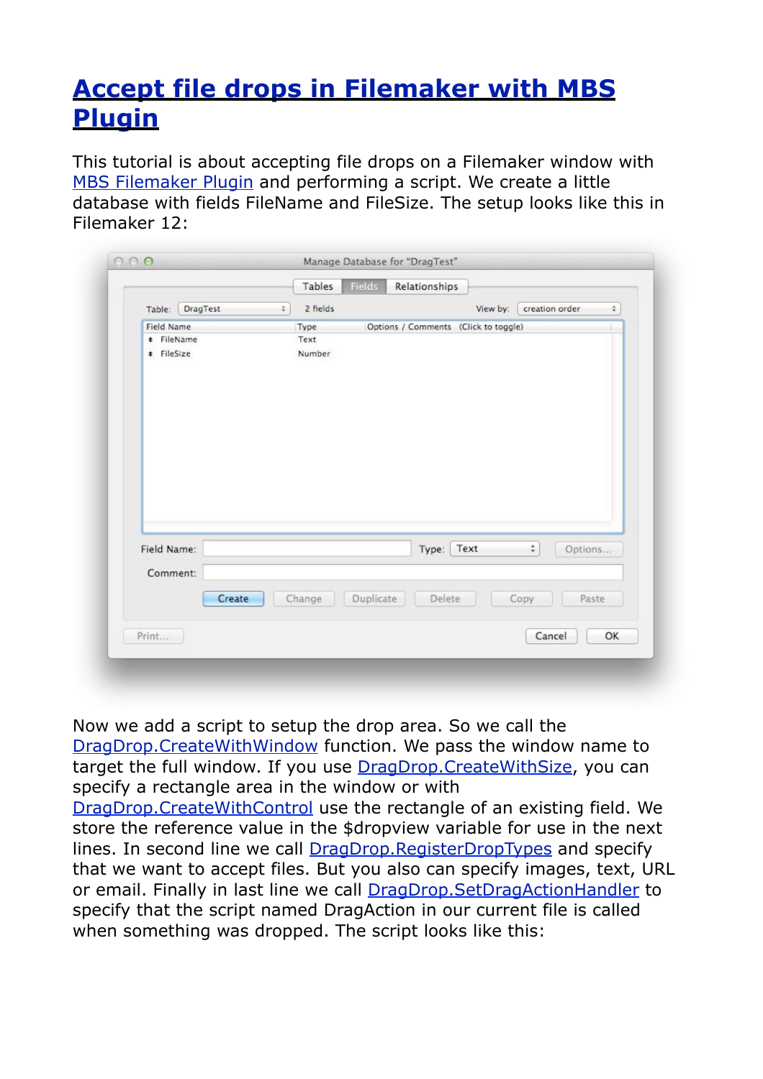## **[Accept file drops in Filemaker with MBS](http://www.mbsplugins.de/archive/2012-08-20/Accept_file_drops_in_Filemaker)  [Plugin](http://www.mbsplugins.de/archive/2012-08-20/Accept_file_drops_in_Filemaker)**

This tutorial is about accepting file drops on a Filemaker window with [MBS Filemaker Plugin](http://www.monkeybreadsoftware.de/filemaker/) and performing a script. We create a little database with fields FileName and FileSize. The setup looks like this in Filemaker 12:

|                    |        | Tables   | Fields    | Relationships                        |          |                                           |    |
|--------------------|--------|----------|-----------|--------------------------------------|----------|-------------------------------------------|----|
| DragTest<br>Table: | ÷      | 2 fields |           |                                      | View by: | creation order                            | ÷  |
| Field Name         |        | Type     |           | Options / Comments (Click to toggle) |          |                                           |    |
| <b>+ FileName</b>  |        | Text     |           |                                      |          |                                           |    |
| # FileSize         |        | Number   |           |                                      |          |                                           |    |
|                    |        |          |           |                                      |          |                                           |    |
|                    |        |          |           |                                      |          |                                           |    |
|                    |        |          |           |                                      |          |                                           |    |
|                    |        |          |           |                                      |          |                                           |    |
|                    |        |          |           |                                      |          |                                           |    |
|                    |        |          |           |                                      |          |                                           |    |
|                    |        |          |           |                                      |          |                                           |    |
|                    |        |          |           |                                      |          |                                           |    |
|                    |        |          |           |                                      |          |                                           |    |
|                    |        |          |           |                                      |          |                                           |    |
|                    |        |          |           |                                      |          |                                           |    |
|                    |        |          |           |                                      |          |                                           |    |
|                    |        |          |           |                                      |          |                                           |    |
| Field Name:        |        |          |           | Type:                                | Text     | $\stackrel{\star}{\mathbf{v}}$<br>Options |    |
| Comment:           |        |          |           |                                      |          |                                           |    |
|                    |        |          |           |                                      |          |                                           |    |
|                    | Create | Change   | Duplicate | Delete                               |          | Paste<br>Copy                             |    |
|                    |        |          |           |                                      |          |                                           |    |
| Print              |        |          |           |                                      |          | Cancel                                    | OK |

Now we add a script to setup the drop area. So we call the [DragDrop.CreateWithWindow](http://www.mbsplugins.eu/DragDropCreateWithWindow.shtml) function. We pass the window name to target the full window. If you use [DragDrop.CreateWithSize](http://www.mbsplugins.eu/DragDropCreateWithSize.shtml), you can specify a rectangle area in the window or with

[DragDrop.CreateWithControl](http://www.mbsplugins.eu/DragDropCreateWithControl.shtml) use the rectangle of an existing field. We store the reference value in the \$dropview variable for use in the next lines. In second line we call [DragDrop.RegisterDropTypes](http://www.mbsplugins.eu/DragDropRegisterDropTypes.shtml) and specify that we want to accept files. But you also can specify images, text, URL or email. Finally in last line we call [DragDrop.SetDragActionHandler](http://www.mbsplugins.eu/DragDropSetDragActionHandler.shtml) to specify that the script named DragAction in our current file is called when something was dropped. The script looks like this: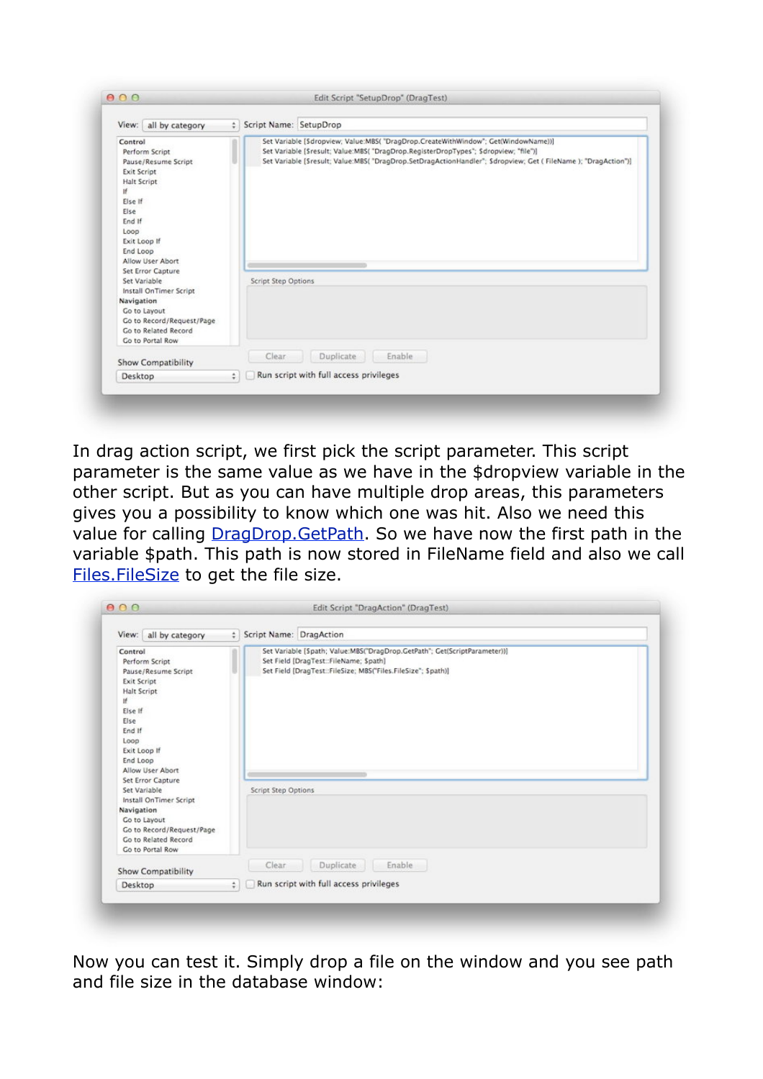| View: all by category                                                                                                                                                                                         | # Script Name: SetupDrop                                                                                                                                                                                                                                                                  |  |
|---------------------------------------------------------------------------------------------------------------------------------------------------------------------------------------------------------------|-------------------------------------------------------------------------------------------------------------------------------------------------------------------------------------------------------------------------------------------------------------------------------------------|--|
| Control<br>Perform Script<br>Pause/Resume Script<br><b>Exit Script</b><br><b>Halt Script</b><br>If.<br>Else If<br>Else<br>End If<br>Loop<br>Exit Loop If<br>End Loop<br>Allow User Abort<br>Set Error Capture | Set Variable [Sdropview; Value:MBS( "DragDrop.CreateWithWindow"; Get(WindowName))]<br>Set Variable [Sresult; Value:MBS( "DragDrop.RegisterDropTypes"; Sdropview; "file")]<br>Set Variable [Sresult: Value:MBS("DragDrop.SetDragActionHandler": Sdropview: Get (FileName ): "DragAction")] |  |
| Set Variable                                                                                                                                                                                                  | <b>Script Step Options</b>                                                                                                                                                                                                                                                                |  |
| Install OnTimer Script<br>Navigation<br>Go to Layout<br>Go to Record/Request/Page<br>Go to Related Record<br><b>Co to Portal Row</b>                                                                          |                                                                                                                                                                                                                                                                                           |  |
| <b>Show Compatibility</b>                                                                                                                                                                                     | Enable<br>Clear<br>Duplicate                                                                                                                                                                                                                                                              |  |
| Desktop                                                                                                                                                                                                       | Run script with full access privileges<br>$\ddot{ }$                                                                                                                                                                                                                                      |  |

In drag action script, we first pick the script parameter. This script parameter is the same value as we have in the \$dropview variable in the other script. But as you can have multiple drop areas, this parameters gives you a possibility to know which one was hit. Also we need this value for calling **DragDrop.GetPath**. So we have now the first path in the variable \$path. This path is now stored in FileName field and also we call [Files.FileSize](http://www.mbsplugins.eu/FilesFileSize.shtml) to get the file size.

| View: all by category                                                                                                                                                                                                                           | # Script Name: DragAction                                                                                                                                                                                  |  |  |
|-------------------------------------------------------------------------------------------------------------------------------------------------------------------------------------------------------------------------------------------------|------------------------------------------------------------------------------------------------------------------------------------------------------------------------------------------------------------|--|--|
| Control<br>Perform Script<br>Pause/Resume Script<br><b>Exit Script</b><br>Halt Script<br>If<br>Else If<br>Else<br>End If<br>Loop<br>Exit Loop If<br>End Loop<br>Allow User Abort<br>Set Error Capture<br>Set Variable<br>Install OnTimer Script | Set Variable [Spath; Value:MBS("DragDrop.GetPath"; Get(ScriptParameter))]<br>Set Field [DragTest::FileName; Spath]<br>Set Field [DragTest::FileSize; MBS("Files.FileSize"; \$path)]<br>Script Step Options |  |  |
| Navigation<br>Go to Layout<br>Go to Record/Request/Page<br>Go to Related Record<br>Go to Portal Row                                                                                                                                             |                                                                                                                                                                                                            |  |  |
| <b>Show Compatibility</b>                                                                                                                                                                                                                       | Clear<br>Enable<br>Duplicate                                                                                                                                                                               |  |  |
| Desktop                                                                                                                                                                                                                                         | Run script with full access privileges<br>$\ddot{\phantom{0}}$                                                                                                                                             |  |  |

Now you can test it. Simply drop a file on the window and you see path and file size in the database window: